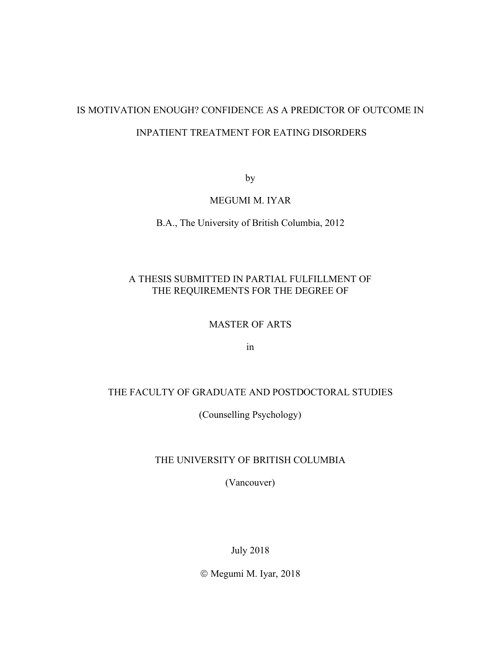# IS MOTIVATION ENOUGH? CONFIDENCE AS A PREDICTOR OF OUTCOME IN INPATIENT TREATMENT FOR EATING DISORDERS

by

### MEGUMI M. IYAR

B.A., The University of British Columbia, 2012

# A THESIS SUBMITTED IN PARTIAL FULFILLMENT OF THE REQUIREMENTS FOR THE DEGREE OF

#### MASTER OF ARTS

in

## THE FACULTY OF GRADUATE AND POSTDOCTORAL STUDIES

(Counselling Psychology)

# THE UNIVERSITY OF BRITISH COLUMBIA

(Vancouver)

July 2018

 $© Megumi M. Iyar, 2018$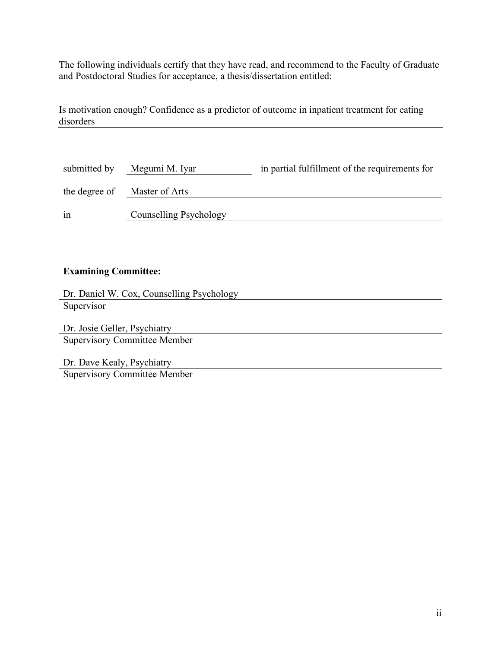The following individuals certify that they have read, and recommend to the Faculty of Graduate and Postdoctoral Studies for acceptance, a thesis/dissertation entitled:

Is motivation enough? Confidence as a predictor of outcome in inpatient treatment for eating disorders

| submitted by  | Megumi M. Iyar         | in partial fulfillment of the requirements for |
|---------------|------------------------|------------------------------------------------|
| the degree of | Master of Arts         |                                                |
| 1n            | Counselling Psychology |                                                |

# **Examining Committee:**

| Dr. Daniel W. Cox, Counselling Psychology |
|-------------------------------------------|
| Supervisor                                |
|                                           |
| Dr. Josie Geller, Psychiatry              |

Supervisory Committee Member

Dr. Dave Kealy, Psychiatry Supervisory Committee Member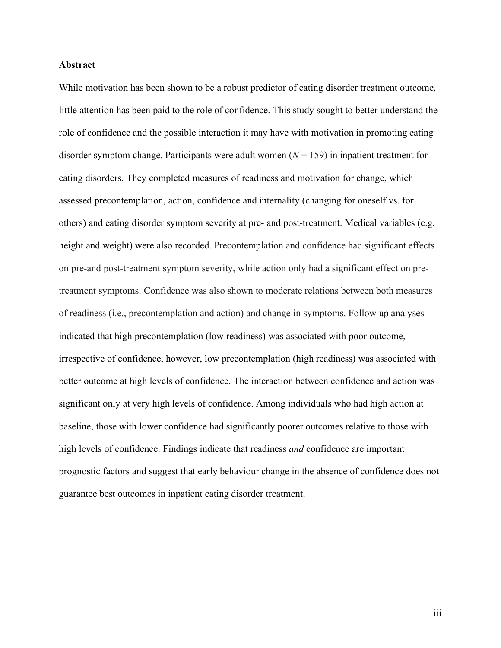#### **Abstract**

While motivation has been shown to be a robust predictor of eating disorder treatment outcome, little attention has been paid to the role of confidence. This study sought to better understand the role of confidence and the possible interaction it may have with motivation in promoting eating disorder symptom change. Participants were adult women  $(N = 159)$  in inpatient treatment for eating disorders. They completed measures of readiness and motivation for change, which assessed precontemplation, action, confidence and internality (changing for oneself vs. for others) and eating disorder symptom severity at pre- and post-treatment. Medical variables (e.g. height and weight) were also recorded. Precontemplation and confidence had significant effects on pre-and post-treatment symptom severity, while action only had a significant effect on pretreatment symptoms. Confidence was also shown to moderate relations between both measures of readiness (i.e., precontemplation and action) and change in symptoms. Follow up analyses indicated that high precontemplation (low readiness) was associated with poor outcome, irrespective of confidence, however, low precontemplation (high readiness) was associated with better outcome at high levels of confidence. The interaction between confidence and action was significant only at very high levels of confidence. Among individuals who had high action at baseline, those with lower confidence had significantly poorer outcomes relative to those with high levels of confidence. Findings indicate that readiness *and* confidence are important prognostic factors and suggest that early behaviour change in the absence of confidence does not guarantee best outcomes in inpatient eating disorder treatment.

iii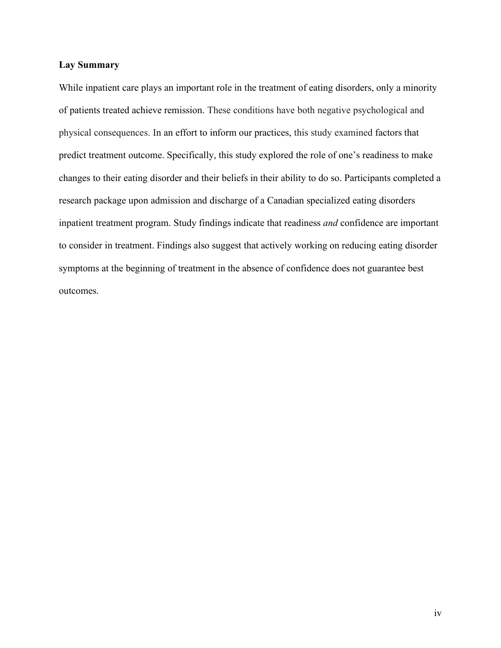#### **Lay Summary**

While inpatient care plays an important role in the treatment of eating disorders, only a minority of patients treated achieve remission. These conditions have both negative psychological and physical consequences. In an effort to inform our practices, this study examined factors that predict treatment outcome. Specifically, this study explored the role of one's readiness to make changes to their eating disorder and their beliefs in their ability to do so. Participants completed a research package upon admission and discharge of a Canadian specialized eating disorders inpatient treatment program. Study findings indicate that readiness *and* confidence are important to consider in treatment. Findings also suggest that actively working on reducing eating disorder symptoms at the beginning of treatment in the absence of confidence does not guarantee best outcomes.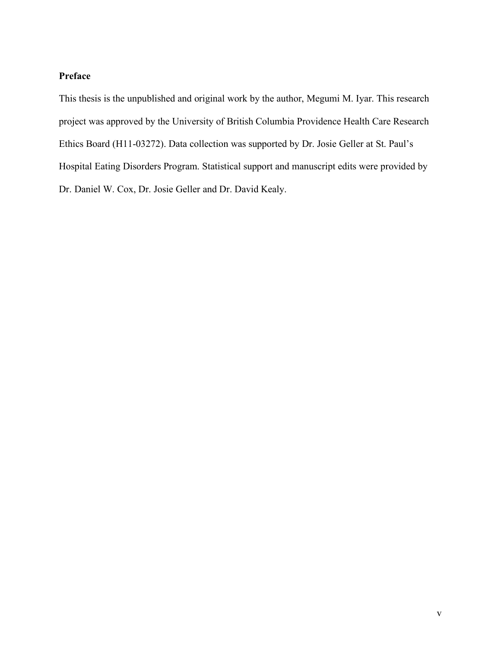# **Preface**

This thesis is the unpublished and original work by the author, Megumi M. Iyar. This research project was approved by the University of British Columbia Providence Health Care Research Ethics Board (H11-03272). Data collection was supported by Dr. Josie Geller at St. Paul's Hospital Eating Disorders Program. Statistical support and manuscript edits were provided by Dr. Daniel W. Cox, Dr. Josie Geller and Dr. David Kealy.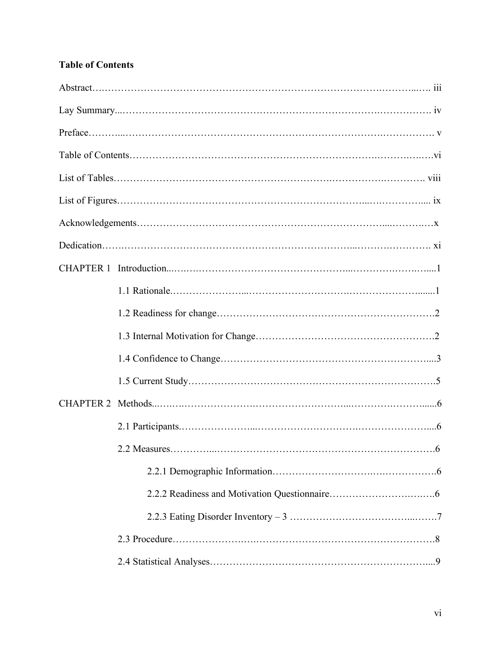# **Table of Contents**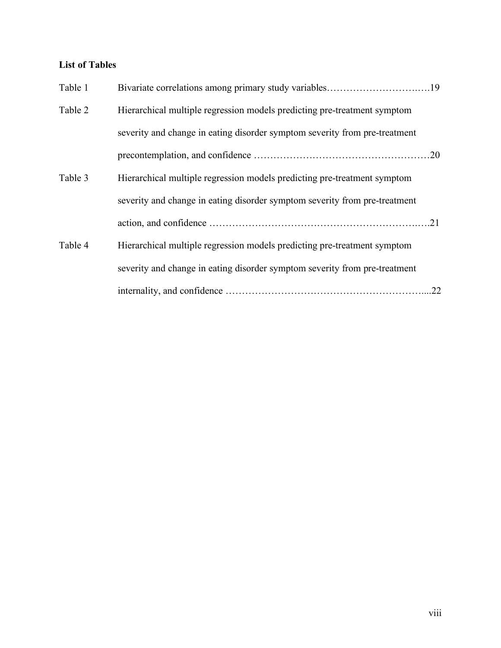# **List of Tables**

| Table 1 |                                                                            |     |
|---------|----------------------------------------------------------------------------|-----|
| Table 2 | Hierarchical multiple regression models predicting pre-treatment symptom   |     |
|         | severity and change in eating disorder symptom severity from pre-treatment |     |
|         |                                                                            |     |
| Table 3 | Hierarchical multiple regression models predicting pre-treatment symptom   |     |
|         | severity and change in eating disorder symptom severity from pre-treatment |     |
|         |                                                                            |     |
| Table 4 | Hierarchical multiple regression models predicting pre-treatment symptom   |     |
|         | severity and change in eating disorder symptom severity from pre-treatment |     |
|         |                                                                            | .22 |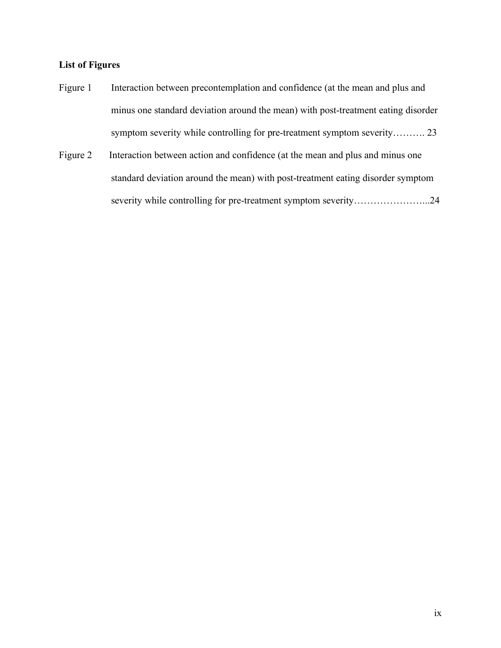# **List of Figures**

- Figure 1 Interaction between precontemplation and confidence (at the mean and plus and minus one standard deviation around the mean) with post-treatment eating disorder symptom severity while controlling for pre-treatment symptom severity………. 23
- Figure 2 Interaction between action and confidence (at the mean and plus and minus one standard deviation around the mean) with post-treatment eating disorder symptom severity while controlling for pre-treatment symptom severity………………………24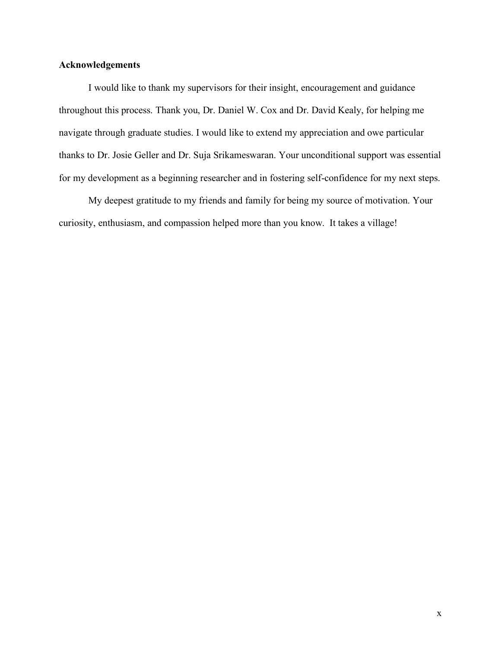### **Acknowledgements**

I would like to thank my supervisors for their insight, encouragement and guidance throughout this process. Thank you, Dr. Daniel W. Cox and Dr. David Kealy, for helping me navigate through graduate studies. I would like to extend my appreciation and owe particular thanks to Dr. Josie Geller and Dr. Suja Srikameswaran. Your unconditional support was essential for my development as a beginning researcher and in fostering self-confidence for my next steps.

My deepest gratitude to my friends and family for being my source of motivation. Your curiosity, enthusiasm, and compassion helped more than you know. It takes a village!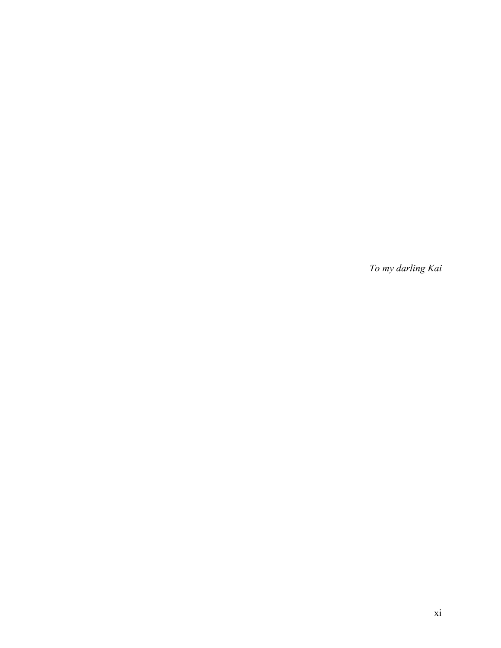*To my darling Kai*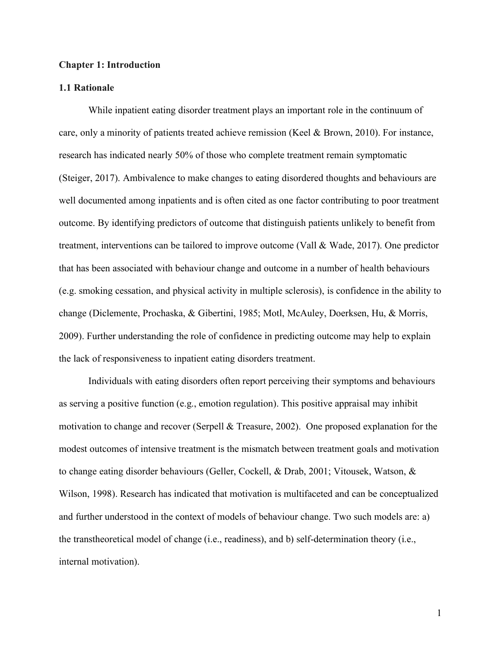#### **Chapter 1: Introduction**

#### **1.1 Rationale**

While inpatient eating disorder treatment plays an important role in the continuum of care, only a minority of patients treated achieve remission (Keel & Brown, 2010). For instance, research has indicated nearly 50% of those who complete treatment remain symptomatic (Steiger, 2017). Ambivalence to make changes to eating disordered thoughts and behaviours are well documented among inpatients and is often cited as one factor contributing to poor treatment outcome. By identifying predictors of outcome that distinguish patients unlikely to benefit from treatment, interventions can be tailored to improve outcome (Vall & Wade, 2017). One predictor that has been associated with behaviour change and outcome in a number of health behaviours (e.g. smoking cessation, and physical activity in multiple sclerosis), is confidence in the ability to change (Diclemente, Prochaska, & Gibertini, 1985; Motl, McAuley, Doerksen, Hu, & Morris, 2009). Further understanding the role of confidence in predicting outcome may help to explain the lack of responsiveness to inpatient eating disorders treatment.

Individuals with eating disorders often report perceiving their symptoms and behaviours as serving a positive function (e.g., emotion regulation). This positive appraisal may inhibit motivation to change and recover (Serpell & Treasure, 2002). One proposed explanation for the modest outcomes of intensive treatment is the mismatch between treatment goals and motivation to change eating disorder behaviours (Geller, Cockell, & Drab, 2001; Vitousek, Watson, & Wilson, 1998). Research has indicated that motivation is multifaceted and can be conceptualized and further understood in the context of models of behaviour change. Two such models are: a) the transtheoretical model of change (i.e., readiness), and b) self-determination theory (i.e., internal motivation).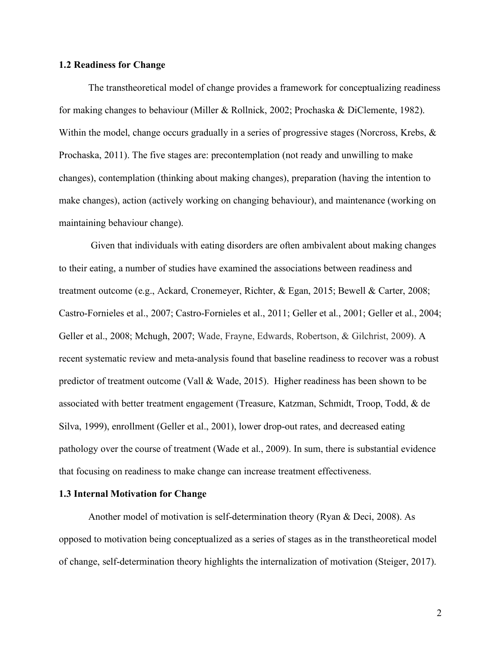#### **1.2 Readiness for Change**

The transtheoretical model of change provides a framework for conceptualizing readiness for making changes to behaviour (Miller & Rollnick, 2002; Prochaska & DiClemente, 1982). Within the model, change occurs gradually in a series of progressive stages (Norcross, Krebs, & Prochaska, 2011). The five stages are: precontemplation (not ready and unwilling to make changes), contemplation (thinking about making changes), preparation (having the intention to make changes), action (actively working on changing behaviour), and maintenance (working on maintaining behaviour change).

Given that individuals with eating disorders are often ambivalent about making changes to their eating, a number of studies have examined the associations between readiness and treatment outcome (e.g., Ackard, Cronemeyer, Richter, & Egan, 2015; Bewell & Carter, 2008; Castro-Fornieles et al., 2007; Castro-Fornieles et al., 2011; Geller et al., 2001; Geller et al., 2004; Geller et al., 2008; Mchugh, 2007; Wade, Frayne, Edwards, Robertson, & Gilchrist, 2009). A recent systematic review and meta-analysis found that baseline readiness to recover was a robust predictor of treatment outcome (Vall & Wade, 2015). Higher readiness has been shown to be associated with better treatment engagement (Treasure, Katzman, Schmidt, Troop, Todd, & de Silva, 1999), enrollment (Geller et al., 2001), lower drop-out rates, and decreased eating pathology over the course of treatment (Wade et al., 2009). In sum, there is substantial evidence that focusing on readiness to make change can increase treatment effectiveness.

#### **1.3 Internal Motivation for Change**

Another model of motivation is self-determination theory (Ryan & Deci, 2008). As opposed to motivation being conceptualized as a series of stages as in the transtheoretical model of change, self-determination theory highlights the internalization of motivation (Steiger, 2017).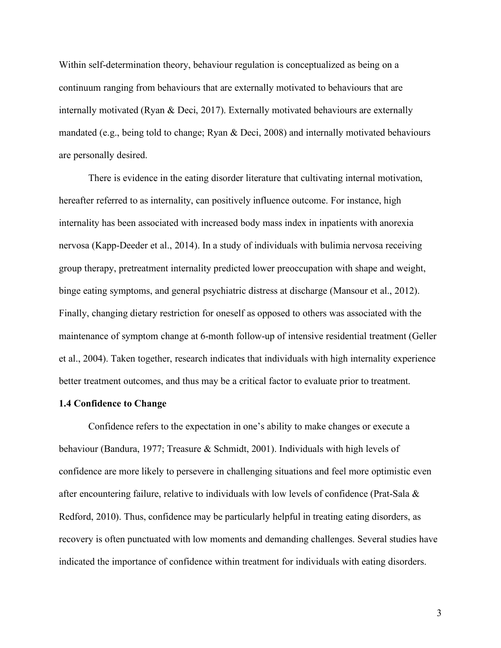Within self-determination theory, behaviour regulation is conceptualized as being on a continuum ranging from behaviours that are externally motivated to behaviours that are internally motivated (Ryan & Deci, 2017). Externally motivated behaviours are externally mandated (e.g., being told to change; Ryan & Deci, 2008) and internally motivated behaviours are personally desired.

There is evidence in the eating disorder literature that cultivating internal motivation, hereafter referred to as internality, can positively influence outcome. For instance, high internality has been associated with increased body mass index in inpatients with anorexia nervosa (Kapp-Deeder et al., 2014). In a study of individuals with bulimia nervosa receiving group therapy, pretreatment internality predicted lower preoccupation with shape and weight, binge eating symptoms, and general psychiatric distress at discharge (Mansour et al., 2012). Finally, changing dietary restriction for oneself as opposed to others was associated with the maintenance of symptom change at 6-month follow-up of intensive residential treatment (Geller et al., 2004). Taken together, research indicates that individuals with high internality experience better treatment outcomes, and thus may be a critical factor to evaluate prior to treatment.

#### **1.4 Confidence to Change**

Confidence refers to the expectation in one's ability to make changes or execute a behaviour (Bandura, 1977; Treasure & Schmidt, 2001). Individuals with high levels of confidence are more likely to persevere in challenging situations and feel more optimistic even after encountering failure, relative to individuals with low levels of confidence (Prat-Sala & Redford, 2010). Thus, confidence may be particularly helpful in treating eating disorders, as recovery is often punctuated with low moments and demanding challenges. Several studies have indicated the importance of confidence within treatment for individuals with eating disorders.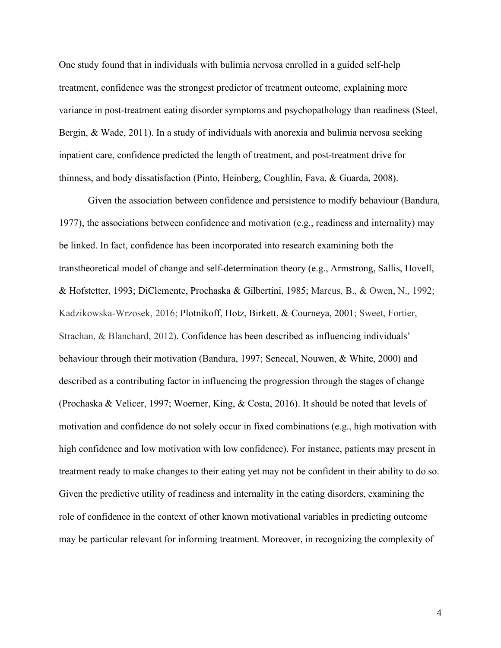One study found that in individuals with bulimia nervosa enrolled in a guided self-help treatment, confidence was the strongest predictor of treatment outcome, explaining more variance in post-treatment eating disorder symptoms and psychopathology than readiness (Steel, Bergin, & Wade, 2011). In a study of individuals with anorexia and bulimia nervosa seeking inpatient care, confidence predicted the length of treatment, and post-treatment drive for thinness, and body dissatisfaction (Pinto, Heinberg, Coughlin, Fava, & Guarda, 2008).

Given the association between confidence and persistence to modify behaviour (Bandura, 1977), the associations between confidence and motivation (e.g., readiness and internality) may be linked. In fact, confidence has been incorporated into research examining both the transtheoretical model of change and self-determination theory (e.g., Armstrong, Sallis, Hovell, & Hofstetter, 1993; DiClemente, Prochaska & Gilbertini, 1985; Marcus, B., & Owen, N., 1992; Kadzikowska-Wrzosek, 2016; Plotnikoff, Hotz, Birkett, & Courneya, 2001; Sweet, Fortier, Strachan, & Blanchard, 2012). Confidence has been described as influencing individuals' behaviour through their motivation (Bandura, 1997; Senecal, Nouwen, & White, 2000) and described as a contributing factor in influencing the progression through the stages of change (Prochaska & Velicer, 1997; Woerner, King, & Costa, 2016). It should be noted that levels of motivation and confidence do not solely occur in fixed combinations (e.g., high motivation with high confidence and low motivation with low confidence). For instance, patients may present in treatment ready to make changes to their eating yet may not be confident in their ability to do so. Given the predictive utility of readiness and internality in the eating disorders, examining the role of confidence in the context of other known motivational variables in predicting outcome may be particular relevant for informing treatment. Moreover, in recognizing the complexity of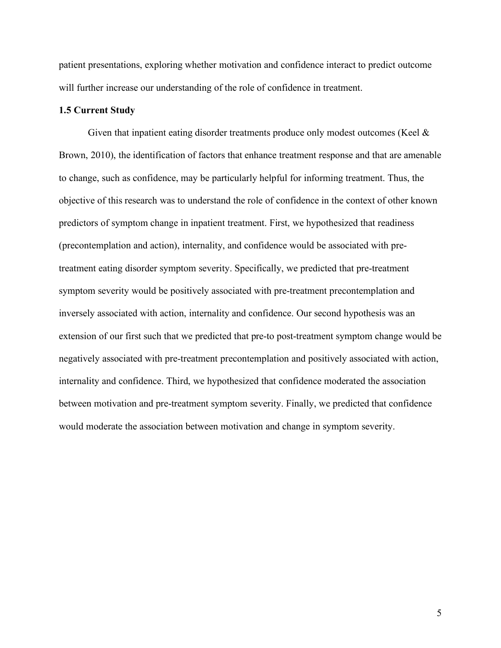patient presentations, exploring whether motivation and confidence interact to predict outcome will further increase our understanding of the role of confidence in treatment.

#### **1.5 Current Study**

Given that inpatient eating disorder treatments produce only modest outcomes (Keel & Brown, 2010), the identification of factors that enhance treatment response and that are amenable to change, such as confidence, may be particularly helpful for informing treatment. Thus, the objective of this research was to understand the role of confidence in the context of other known predictors of symptom change in inpatient treatment. First, we hypothesized that readiness (precontemplation and action), internality, and confidence would be associated with pretreatment eating disorder symptom severity. Specifically, we predicted that pre-treatment symptom severity would be positively associated with pre-treatment precontemplation and inversely associated with action, internality and confidence. Our second hypothesis was an extension of our first such that we predicted that pre-to post-treatment symptom change would be negatively associated with pre-treatment precontemplation and positively associated with action, internality and confidence. Third, we hypothesized that confidence moderated the association between motivation and pre-treatment symptom severity. Finally, we predicted that confidence would moderate the association between motivation and change in symptom severity.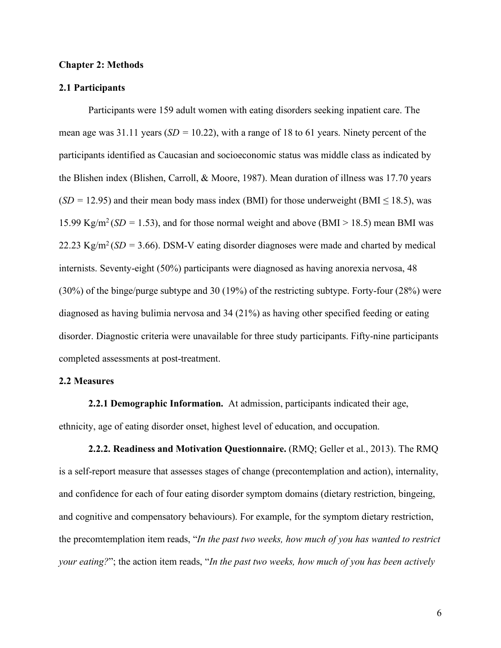#### **Chapter 2: Methods**

#### **2.1 Participants**

Participants were 159 adult women with eating disorders seeking inpatient care. The mean age was 31.11 years (*SD =* 10.22), with a range of 18 to 61 years. Ninety percent of the participants identified as Caucasian and socioeconomic status was middle class as indicated by the Blishen index (Blishen, Carroll, & Moore, 1987). Mean duration of illness was 17.70 years  $(SD = 12.95)$  and their mean body mass index (BMI) for those underweight (BMI  $\leq$  18.5), was 15.99 Kg/m<sup>2</sup> (*SD* = 1.53), and for those normal weight and above (BMI > 18.5) mean BMI was 22.23 Kg/m<sup>2</sup> ( $SD = 3.66$ ). DSM-V eating disorder diagnoses were made and charted by medical internists. Seventy-eight (50%) participants were diagnosed as having anorexia nervosa, 48 (30%) of the binge/purge subtype and 30 (19%) of the restricting subtype. Forty-four (28%) were diagnosed as having bulimia nervosa and 34 (21%) as having other specified feeding or eating disorder. Diagnostic criteria were unavailable for three study participants. Fifty-nine participants completed assessments at post-treatment.

#### **2.2 Measures**

**2.2.1 Demographic Information.** At admission, participants indicated their age, ethnicity, age of eating disorder onset, highest level of education, and occupation.

**2.2.2. Readiness and Motivation Questionnaire.** (RMQ; Geller et al., 2013). The RMQ is a self-report measure that assesses stages of change (precontemplation and action), internality, and confidence for each of four eating disorder symptom domains (dietary restriction, bingeing, and cognitive and compensatory behaviours). For example, for the symptom dietary restriction, the precomtemplation item reads, "*In the past two weeks, how much of you has wanted to restrict your eating?*"; the action item reads, "*In the past two weeks, how much of you has been actively*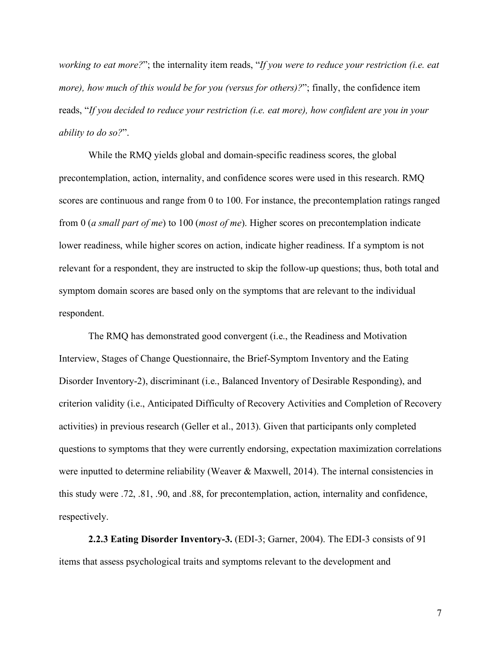*working to eat more?*"; the internality item reads, "*If you were to reduce your restriction (i.e. eat more), how much of this would be for you (versus for others)?*"; finally, the confidence item reads, "*If you decided to reduce your restriction (i.e. eat more), how confident are you in your ability to do so?*".

While the RMQ yields global and domain-specific readiness scores, the global precontemplation, action, internality, and confidence scores were used in this research. RMQ scores are continuous and range from 0 to 100. For instance, the precontemplation ratings ranged from 0 (*a small part of me*) to 100 (*most of me*). Higher scores on precontemplation indicate lower readiness, while higher scores on action, indicate higher readiness. If a symptom is not relevant for a respondent, they are instructed to skip the follow-up questions; thus, both total and symptom domain scores are based only on the symptoms that are relevant to the individual respondent.

The RMQ has demonstrated good convergent (i.e., the Readiness and Motivation Interview, Stages of Change Questionnaire, the Brief-Symptom Inventory and the Eating Disorder Inventory-2), discriminant (i.e., Balanced Inventory of Desirable Responding), and criterion validity (i.e., Anticipated Difficulty of Recovery Activities and Completion of Recovery activities) in previous research (Geller et al., 2013). Given that participants only completed questions to symptoms that they were currently endorsing, expectation maximization correlations were inputted to determine reliability (Weaver & Maxwell, 2014). The internal consistencies in this study were .72, .81, .90, and .88, for precontemplation, action, internality and confidence, respectively.

**2.2.3 Eating Disorder Inventory-3.** (EDI-3; Garner, 2004). The EDI-3 consists of 91 items that assess psychological traits and symptoms relevant to the development and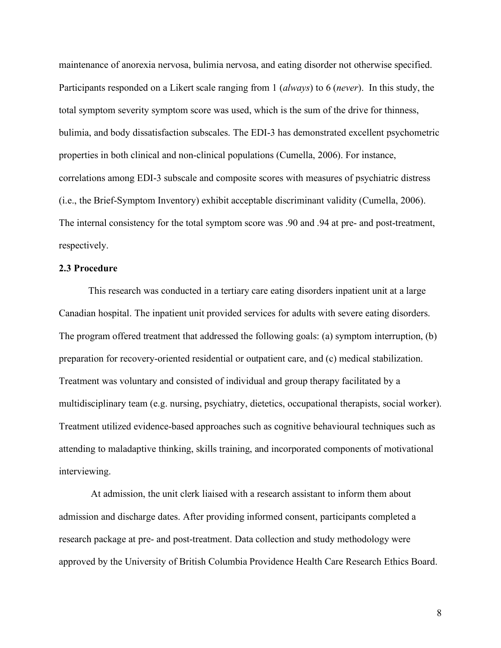maintenance of anorexia nervosa, bulimia nervosa, and eating disorder not otherwise specified. Participants responded on a Likert scale ranging from 1 (*always*) to 6 (*never*). In this study, the total symptom severity symptom score was used, which is the sum of the drive for thinness, bulimia, and body dissatisfaction subscales. The EDI-3 has demonstrated excellent psychometric properties in both clinical and non-clinical populations (Cumella, 2006). For instance, correlations among EDI-3 subscale and composite scores with measures of psychiatric distress (i.e., the Brief-Symptom Inventory) exhibit acceptable discriminant validity (Cumella, 2006). The internal consistency for the total symptom score was .90 and .94 at pre- and post-treatment, respectively.

#### **2.3 Procedure**

This research was conducted in a tertiary care eating disorders inpatient unit at a large Canadian hospital. The inpatient unit provided services for adults with severe eating disorders. The program offered treatment that addressed the following goals: (a) symptom interruption, (b) preparation for recovery-oriented residential or outpatient care, and (c) medical stabilization. Treatment was voluntary and consisted of individual and group therapy facilitated by a multidisciplinary team (e.g. nursing, psychiatry, dietetics, occupational therapists, social worker). Treatment utilized evidence-based approaches such as cognitive behavioural techniques such as attending to maladaptive thinking, skills training, and incorporated components of motivational interviewing.

At admission, the unit clerk liaised with a research assistant to inform them about admission and discharge dates. After providing informed consent, participants completed a research package at pre- and post-treatment. Data collection and study methodology were approved by the University of British Columbia Providence Health Care Research Ethics Board.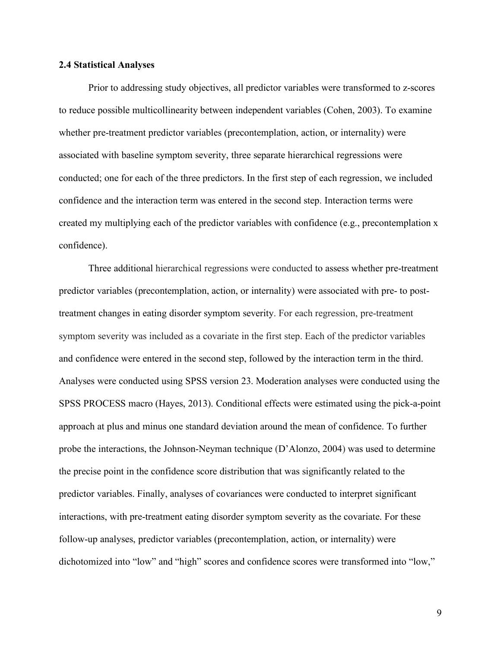#### **2.4 Statistical Analyses**

Prior to addressing study objectives, all predictor variables were transformed to z-scores to reduce possible multicollinearity between independent variables (Cohen, 2003). To examine whether pre-treatment predictor variables (precontemplation, action, or internality) were associated with baseline symptom severity, three separate hierarchical regressions were conducted; one for each of the three predictors. In the first step of each regression, we included confidence and the interaction term was entered in the second step. Interaction terms were created my multiplying each of the predictor variables with confidence (e.g., precontemplation x confidence).

Three additional hierarchical regressions were conducted to assess whether pre-treatment predictor variables (precontemplation, action, or internality) were associated with pre- to posttreatment changes in eating disorder symptom severity. For each regression, pre-treatment symptom severity was included as a covariate in the first step. Each of the predictor variables and confidence were entered in the second step, followed by the interaction term in the third. Analyses were conducted using SPSS version 23. Moderation analyses were conducted using the SPSS PROCESS macro (Hayes, 2013). Conditional effects were estimated using the pick-a-point approach at plus and minus one standard deviation around the mean of confidence. To further probe the interactions, the Johnson-Neyman technique (D'Alonzo, 2004) was used to determine the precise point in the confidence score distribution that was significantly related to the predictor variables. Finally, analyses of covariances were conducted to interpret significant interactions, with pre-treatment eating disorder symptom severity as the covariate. For these follow-up analyses, predictor variables (precontemplation, action, or internality) were dichotomized into "low" and "high" scores and confidence scores were transformed into "low,"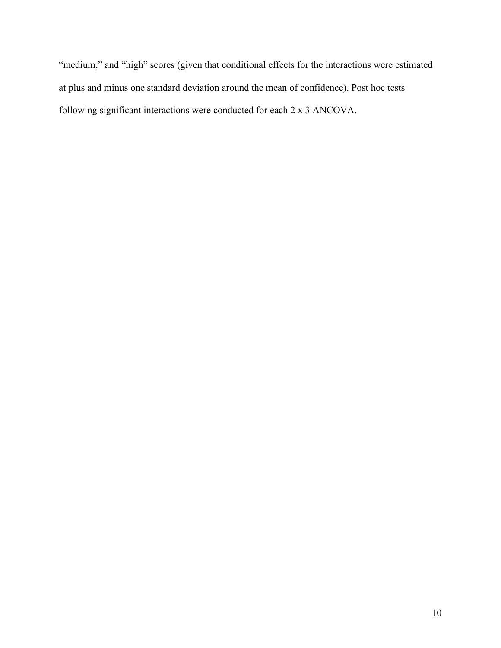"medium," and "high" scores (given that conditional effects for the interactions were estimated at plus and minus one standard deviation around the mean of confidence). Post hoc tests following significant interactions were conducted for each 2 x 3 ANCOVA.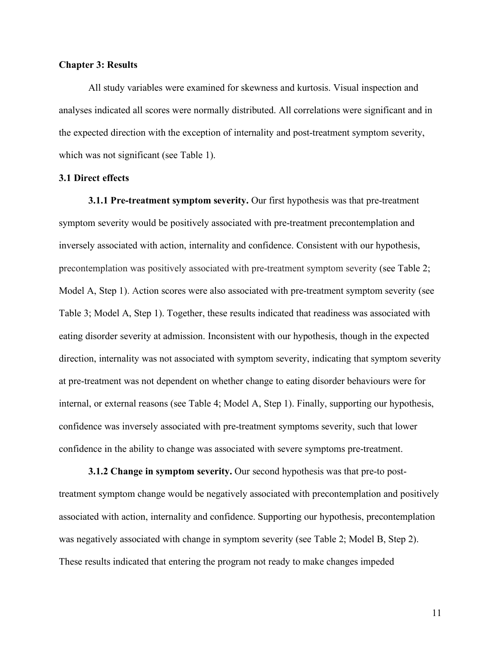#### **Chapter 3: Results**

All study variables were examined for skewness and kurtosis. Visual inspection and analyses indicated all scores were normally distributed. All correlations were significant and in the expected direction with the exception of internality and post-treatment symptom severity, which was not significant (see Table 1).

#### **3.1 Direct effects**

**3.1.1 Pre-treatment symptom severity.** Our first hypothesis was that pre-treatment symptom severity would be positively associated with pre-treatment precontemplation and inversely associated with action, internality and confidence. Consistent with our hypothesis, precontemplation was positively associated with pre-treatment symptom severity (see Table 2; Model A, Step 1). Action scores were also associated with pre-treatment symptom severity (see Table 3; Model A, Step 1). Together, these results indicated that readiness was associated with eating disorder severity at admission. Inconsistent with our hypothesis, though in the expected direction, internality was not associated with symptom severity, indicating that symptom severity at pre-treatment was not dependent on whether change to eating disorder behaviours were for internal, or external reasons (see Table 4; Model A, Step 1). Finally, supporting our hypothesis, confidence was inversely associated with pre-treatment symptoms severity, such that lower confidence in the ability to change was associated with severe symptoms pre-treatment.

**3.1.2 Change in symptom severity.** Our second hypothesis was that pre-to posttreatment symptom change would be negatively associated with precontemplation and positively associated with action, internality and confidence. Supporting our hypothesis, precontemplation was negatively associated with change in symptom severity (see Table 2; Model B, Step 2). These results indicated that entering the program not ready to make changes impeded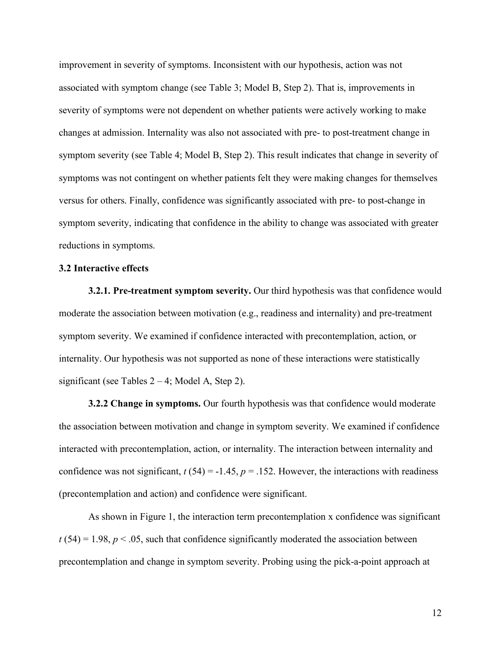improvement in severity of symptoms. Inconsistent with our hypothesis, action was not associated with symptom change (see Table 3; Model B, Step 2). That is, improvements in severity of symptoms were not dependent on whether patients were actively working to make changes at admission. Internality was also not associated with pre- to post-treatment change in symptom severity (see Table 4; Model B, Step 2). This result indicates that change in severity of symptoms was not contingent on whether patients felt they were making changes for themselves versus for others. Finally, confidence was significantly associated with pre- to post-change in symptom severity, indicating that confidence in the ability to change was associated with greater reductions in symptoms.

#### **3.2 Interactive effects**

**3.2.1. Pre-treatment symptom severity.** Our third hypothesis was that confidence would moderate the association between motivation (e.g., readiness and internality) and pre-treatment symptom severity. We examined if confidence interacted with precontemplation, action, or internality. Our hypothesis was not supported as none of these interactions were statistically significant (see Tables  $2 - 4$ ; Model A, Step 2).

**3.2.2 Change in symptoms.** Our fourth hypothesis was that confidence would moderate the association between motivation and change in symptom severity. We examined if confidence interacted with precontemplation, action, or internality. The interaction between internality and confidence was not significant,  $t(54) = -1.45$ ,  $p = 0.152$ . However, the interactions with readiness (precontemplation and action) and confidence were significant.

As shown in Figure 1, the interaction term precontemplation x confidence was significant  $t(54) = 1.98$ ,  $p < .05$ , such that confidence significantly moderated the association between precontemplation and change in symptom severity. Probing using the pick-a-point approach at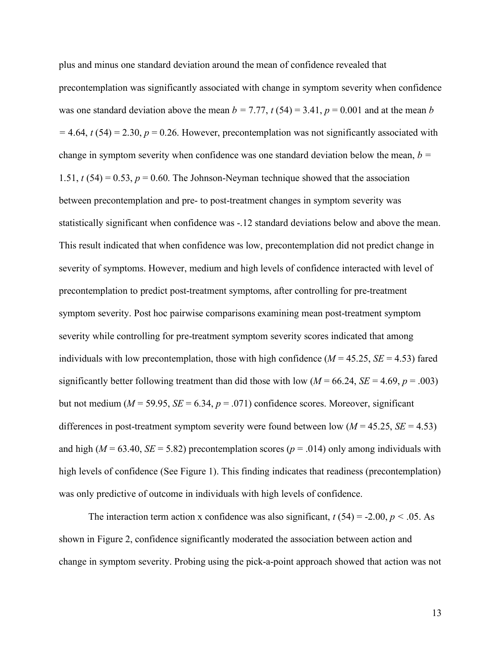plus and minus one standard deviation around the mean of confidence revealed that precontemplation was significantly associated with change in symptom severity when confidence was one standard deviation above the mean  $b = 7.77$ ,  $t(54) = 3.41$ ,  $p = 0.001$  and at the mean *b*  $= 4.64$ ,  $t(54) = 2.30$ ,  $p = 0.26$ . However, precontemplation was not significantly associated with change in symptom severity when confidence was one standard deviation below the mean, *b =*  1.51,  $t$  (54) = 0.53,  $p = 0.60$ . The Johnson-Neyman technique showed that the association between precontemplation and pre- to post-treatment changes in symptom severity was statistically significant when confidence was -.12 standard deviations below and above the mean. This result indicated that when confidence was low, precontemplation did not predict change in severity of symptoms. However, medium and high levels of confidence interacted with level of precontemplation to predict post-treatment symptoms, after controlling for pre-treatment symptom severity. Post hoc pairwise comparisons examining mean post-treatment symptom severity while controlling for pre-treatment symptom severity scores indicated that among individuals with low precontemplation, those with high confidence  $(M = 45.25, SE = 4.53)$  fared significantly better following treatment than did those with low  $(M = 66.24, SE = 4.69, p = .003)$ but not medium ( $M = 59.95$ ,  $SE = 6.34$ ,  $p = .071$ ) confidence scores. Moreover, significant differences in post-treatment symptom severity were found between low (*M* = 45.25, *SE* = 4.53) and high ( $M = 63.40$ ,  $SE = 5.82$ ) precontemplation scores ( $p = .014$ ) only among individuals with high levels of confidence (See Figure 1). This finding indicates that readiness (precontemplation) was only predictive of outcome in individuals with high levels of confidence.

The interaction term action x confidence was also significant,  $t(54) = -2.00$ ,  $p < .05$ . As shown in Figure 2, confidence significantly moderated the association between action and change in symptom severity. Probing using the pick-a-point approach showed that action was not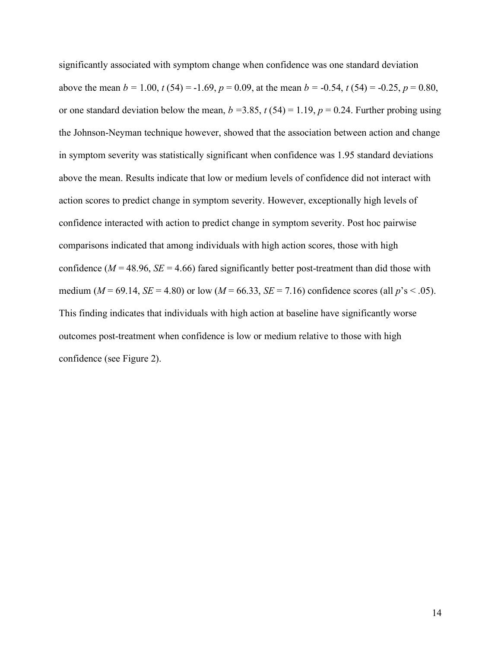significantly associated with symptom change when confidence was one standard deviation above the mean  $b = 1.00$ ,  $t(54) = -1.69$ ,  $p = 0.09$ , at the mean  $b = -0.54$ ,  $t(54) = -0.25$ ,  $p = 0.80$ , or one standard deviation below the mean,  $b = 3.85$ ,  $t(54) = 1.19$ ,  $p = 0.24$ . Further probing using the Johnson-Neyman technique however, showed that the association between action and change in symptom severity was statistically significant when confidence was 1.95 standard deviations above the mean. Results indicate that low or medium levels of confidence did not interact with action scores to predict change in symptom severity. However, exceptionally high levels of confidence interacted with action to predict change in symptom severity. Post hoc pairwise comparisons indicated that among individuals with high action scores, those with high confidence ( $M = 48.96$ ,  $SE = 4.66$ ) fared significantly better post-treatment than did those with medium ( $M = 69.14$ ,  $SE = 4.80$ ) or low ( $M = 66.33$ ,  $SE = 7.16$ ) confidence scores (all  $p's < .05$ ). This finding indicates that individuals with high action at baseline have significantly worse outcomes post-treatment when confidence is low or medium relative to those with high confidence (see Figure 2).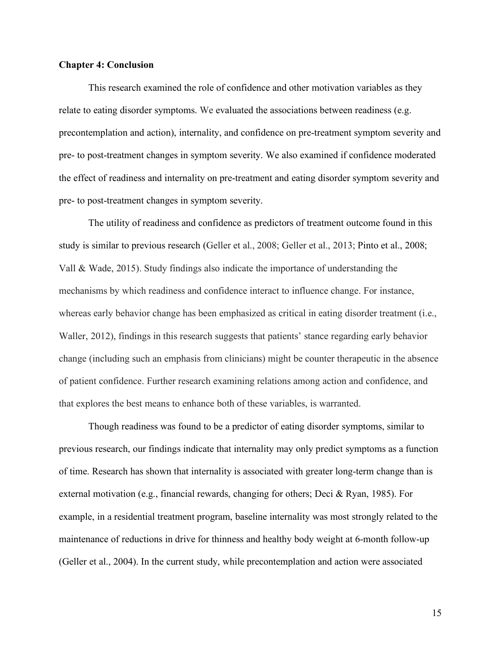#### **Chapter 4: Conclusion**

This research examined the role of confidence and other motivation variables as they relate to eating disorder symptoms. We evaluated the associations between readiness (e.g. precontemplation and action), internality, and confidence on pre-treatment symptom severity and pre- to post-treatment changes in symptom severity. We also examined if confidence moderated the effect of readiness and internality on pre-treatment and eating disorder symptom severity and pre- to post-treatment changes in symptom severity.

The utility of readiness and confidence as predictors of treatment outcome found in this study is similar to previous research (Geller et al., 2008; Geller et al., 2013; Pinto et al., 2008; Vall & Wade, 2015). Study findings also indicate the importance of understanding the mechanisms by which readiness and confidence interact to influence change. For instance, whereas early behavior change has been emphasized as critical in eating disorder treatment (i.e., Waller, 2012), findings in this research suggests that patients' stance regarding early behavior change (including such an emphasis from clinicians) might be counter therapeutic in the absence of patient confidence. Further research examining relations among action and confidence, and that explores the best means to enhance both of these variables, is warranted.

Though readiness was found to be a predictor of eating disorder symptoms, similar to previous research, our findings indicate that internality may only predict symptoms as a function of time. Research has shown that internality is associated with greater long-term change than is external motivation (e.g., financial rewards, changing for others; Deci & Ryan, 1985). For example, in a residential treatment program, baseline internality was most strongly related to the maintenance of reductions in drive for thinness and healthy body weight at 6-month follow-up (Geller et al., 2004). In the current study, while precontemplation and action were associated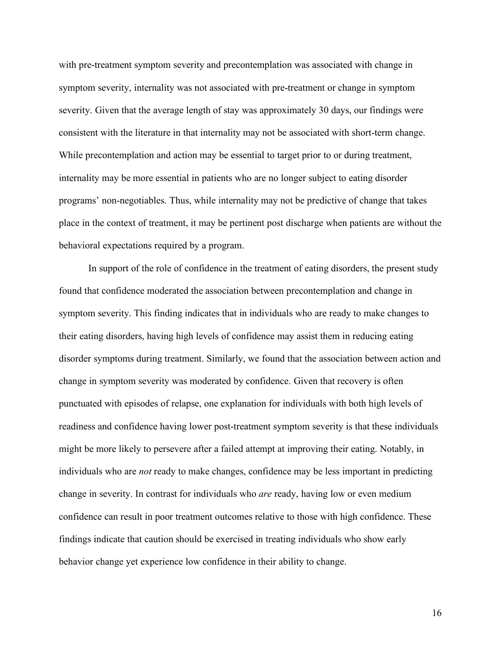with pre-treatment symptom severity and precontemplation was associated with change in symptom severity, internality was not associated with pre-treatment or change in symptom severity. Given that the average length of stay was approximately 30 days, our findings were consistent with the literature in that internality may not be associated with short-term change. While precontemplation and action may be essential to target prior to or during treatment, internality may be more essential in patients who are no longer subject to eating disorder programs' non-negotiables. Thus, while internality may not be predictive of change that takes place in the context of treatment, it may be pertinent post discharge when patients are without the behavioral expectations required by a program.

In support of the role of confidence in the treatment of eating disorders, the present study found that confidence moderated the association between precontemplation and change in symptom severity. This finding indicates that in individuals who are ready to make changes to their eating disorders, having high levels of confidence may assist them in reducing eating disorder symptoms during treatment. Similarly, we found that the association between action and change in symptom severity was moderated by confidence. Given that recovery is often punctuated with episodes of relapse, one explanation for individuals with both high levels of readiness and confidence having lower post-treatment symptom severity is that these individuals might be more likely to persevere after a failed attempt at improving their eating. Notably, in individuals who are *not* ready to make changes, confidence may be less important in predicting change in severity. In contrast for individuals who *are* ready, having low or even medium confidence can result in poor treatment outcomes relative to those with high confidence. These findings indicate that caution should be exercised in treating individuals who show early behavior change yet experience low confidence in their ability to change.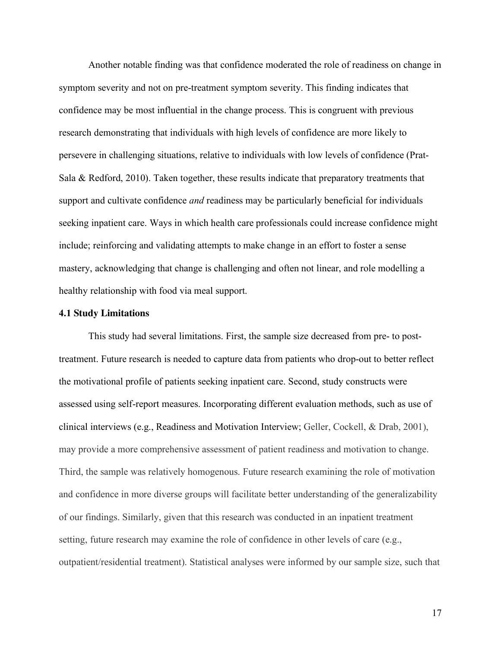Another notable finding was that confidence moderated the role of readiness on change in symptom severity and not on pre-treatment symptom severity. This finding indicates that confidence may be most influential in the change process. This is congruent with previous research demonstrating that individuals with high levels of confidence are more likely to persevere in challenging situations, relative to individuals with low levels of confidence (Prat-Sala & Redford, 2010). Taken together, these results indicate that preparatory treatments that support and cultivate confidence *and* readiness may be particularly beneficial for individuals seeking inpatient care. Ways in which health care professionals could increase confidence might include; reinforcing and validating attempts to make change in an effort to foster a sense mastery, acknowledging that change is challenging and often not linear, and role modelling a healthy relationship with food via meal support.

#### **4.1 Study Limitations**

This study had several limitations. First, the sample size decreased from pre- to posttreatment. Future research is needed to capture data from patients who drop-out to better reflect the motivational profile of patients seeking inpatient care. Second, study constructs were assessed using self-report measures. Incorporating different evaluation methods, such as use of clinical interviews (e.g., Readiness and Motivation Interview; Geller, Cockell, & Drab, 2001), may provide a more comprehensive assessment of patient readiness and motivation to change. Third, the sample was relatively homogenous. Future research examining the role of motivation and confidence in more diverse groups will facilitate better understanding of the generalizability of our findings. Similarly, given that this research was conducted in an inpatient treatment setting, future research may examine the role of confidence in other levels of care (e.g., outpatient/residential treatment). Statistical analyses were informed by our sample size, such that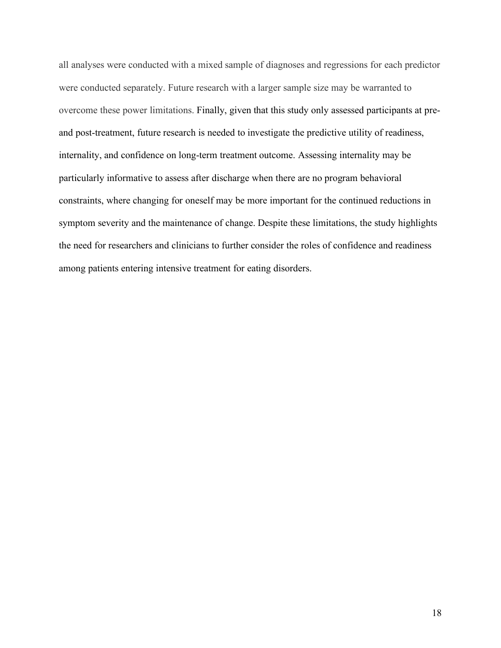all analyses were conducted with a mixed sample of diagnoses and regressions for each predictor were conducted separately. Future research with a larger sample size may be warranted to overcome these power limitations. Finally, given that this study only assessed participants at preand post-treatment, future research is needed to investigate the predictive utility of readiness, internality, and confidence on long-term treatment outcome. Assessing internality may be particularly informative to assess after discharge when there are no program behavioral constraints, where changing for oneself may be more important for the continued reductions in symptom severity and the maintenance of change. Despite these limitations, the study highlights the need for researchers and clinicians to further consider the roles of confidence and readiness among patients entering intensive treatment for eating disorders.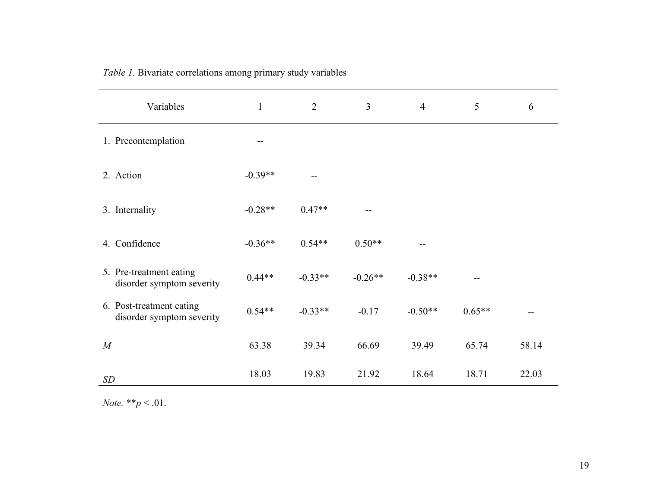| Variables                                             | $\mathbf{1}$ | $\overline{2}$ | $\overline{3}$ | $\overline{4}$ | 5        | 6     |
|-------------------------------------------------------|--------------|----------------|----------------|----------------|----------|-------|
| 1. Precontemplation                                   |              |                |                |                |          |       |
| 2. Action                                             | $-0.39**$    |                |                |                |          |       |
| 3. Internality                                        | $-0.28**$    | $0.47**$       |                |                |          |       |
| 4. Confidence                                         | $-0.36**$    | $0.54**$       | $0.50**$       |                |          |       |
| 5. Pre-treatment eating<br>disorder symptom severity  | $0.44**$     | $-0.33**$      | $-0.26**$      | $-0.38**$      |          |       |
| 6. Post-treatment eating<br>disorder symptom severity | $0.54**$     | $-0.33**$      | $-0.17$        | $-0.50**$      | $0.65**$ |       |
| M                                                     | 63.38        | 39.34          | 66.69          | 39.49          | 65.74    | 58.14 |
| SD                                                    | 18.03        | 19.83          | 21.92          | 18.64          | 18.71    | 22.03 |

*Table 1.* Bivariate correlations among primary study variables

*Note.* \*\**p* < .01.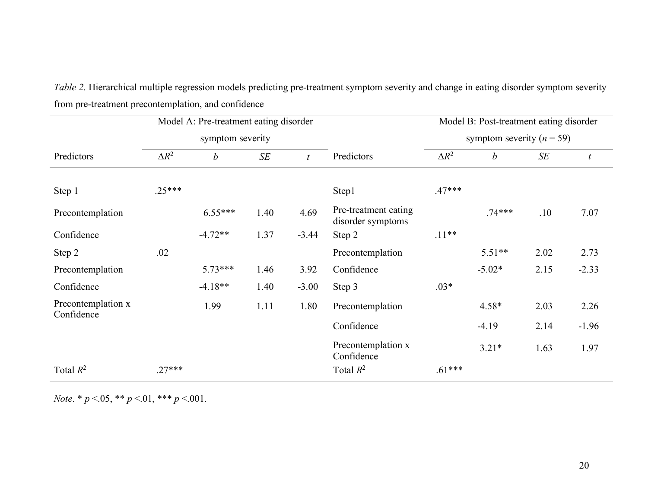| Model A: Pre-treatment eating disorder |              |                  |        |                  |                                           | Model B: Post-treatment eating disorder<br>symptom severity ( $n = 59$ ) |                  |        |                  |
|----------------------------------------|--------------|------------------|--------|------------------|-------------------------------------------|--------------------------------------------------------------------------|------------------|--------|------------------|
| symptom severity                       |              |                  |        |                  |                                           |                                                                          |                  |        |                  |
| Predictors                             | $\Delta R^2$ | $\boldsymbol{b}$ | $S\!E$ | $\boldsymbol{t}$ | Predictors                                | $\Delta R^2$                                                             | $\boldsymbol{b}$ | $S\!E$ | $\boldsymbol{t}$ |
| Step 1                                 | $.25***$     |                  |        |                  | Step1                                     | $.47***$                                                                 |                  |        |                  |
| Precontemplation                       |              | $6.55***$        | 1.40   | 4.69             | Pre-treatment eating<br>disorder symptoms |                                                                          | $74***$          | .10    | 7.07             |
| Confidence                             |              | $-4.72**$        | 1.37   | $-3.44$          | Step 2                                    | $.11**$                                                                  |                  |        |                  |
| Step 2                                 | .02          |                  |        |                  | Precontemplation                          |                                                                          | $5.51**$         | 2.02   | 2.73             |
| Precontemplation                       |              | $5.73***$        | 1.46   | 3.92             | Confidence                                |                                                                          | $-5.02*$         | 2.15   | $-2.33$          |
| Confidence                             |              | $-4.18**$        | 1.40   | $-3.00$          | Step 3                                    | $.03*$                                                                   |                  |        |                  |
| Precontemplation x<br>Confidence       |              | 1.99             | 1.11   | 1.80             | Precontemplation                          |                                                                          | $4.58*$          | 2.03   | 2.26             |
|                                        |              |                  |        |                  | Confidence                                |                                                                          | $-4.19$          | 2.14   | $-1.96$          |
|                                        |              |                  |        |                  | Precontemplation x<br>Confidence          |                                                                          | $3.21*$          | 1.63   | 1.97             |
| Total $R^2$                            | $.27***$     |                  |        |                  | Total $R^2$                               | $.61***$                                                                 |                  |        |                  |

*Table 2.* Hierarchical multiple regression models predicting pre-treatment symptom severity and change in eating disorder symptom severity from pre-treatment precontemplation, and confidence

*Note*. \* *p* <.05, \*\* *p* <.01, \*\*\* *p* <.001.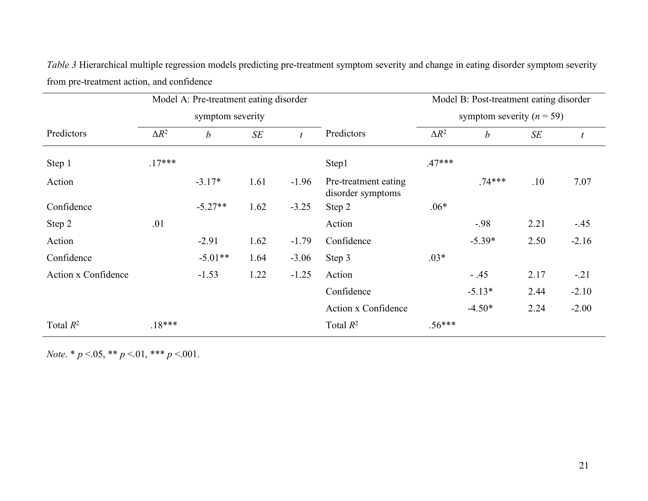*Table 3* Hierarchical multiple regression models predicting pre-treatment symptom severity and change in eating disorder symptom severity from pre-treatment action, and confidence

|                     | Model A: Pre-treatment eating disorder |                  |        |                |                                           | Model B: Post-treatment eating disorder |                  |        |                  |
|---------------------|----------------------------------------|------------------|--------|----------------|-------------------------------------------|-----------------------------------------|------------------|--------|------------------|
|                     | symptom severity                       |                  |        |                |                                           | symptom severity ( $n = 59$ )           |                  |        |                  |
| Predictors          | $\Delta R^2$                           | $\boldsymbol{b}$ | $S\!E$ | $\mathfrak{t}$ | Predictors                                | $\Delta R^2$                            | $\boldsymbol{b}$ | $S\!E$ | $\boldsymbol{t}$ |
| Step 1              | $.17***$                               |                  |        |                | Step1                                     | $.47***$                                |                  |        |                  |
| Action              |                                        | $-3.17*$         | 1.61   | $-1.96$        | Pre-treatment eating<br>disorder symptoms |                                         | $.74***$         | .10    | 7.07             |
| Confidence          |                                        | $-5.27**$        | 1.62   | $-3.25$        | Step 2                                    | $.06*$                                  |                  |        |                  |
| Step 2              | .01                                    |                  |        |                | Action                                    |                                         | $-.98$           | 2.21   | $-45$            |
| Action              |                                        | $-2.91$          | 1.62   | $-1.79$        | Confidence                                |                                         | $-5.39*$         | 2.50   | $-2.16$          |
| Confidence          |                                        | $-5.01**$        | 1.64   | $-3.06$        | Step 3                                    | $.03*$                                  |                  |        |                  |
| Action x Confidence |                                        | $-1.53$          | 1.22   | $-1.25$        | Action                                    |                                         | $-.45$           | 2.17   | $-.21$           |
|                     |                                        |                  |        |                | Confidence                                |                                         | $-5.13*$         | 2.44   | $-2.10$          |
|                     |                                        |                  |        |                | Action x Confidence                       |                                         | $-4.50*$         | 2.24   | $-2.00$          |
| Total $R^2$         | $.18***$                               |                  |        |                | Total $R^2$                               | $.56***$                                |                  |        |                  |

*Note*. \* *p* <.05, \*\* *p* <.01, \*\*\* *p* <.001.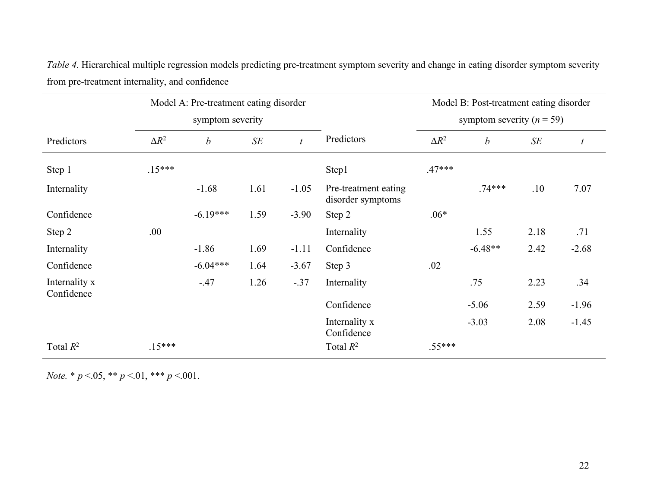*Table 4.* Hierarchical multiple regression models predicting pre-treatment symptom severity and change in eating disorder symptom severity from pre-treatment internality, and confidence

|                             | Model A: Pre-treatment eating disorder<br>symptom severity |                  |      |                  |                                           | Model B: Post-treatment eating disorder |                  |      |                  |
|-----------------------------|------------------------------------------------------------|------------------|------|------------------|-------------------------------------------|-----------------------------------------|------------------|------|------------------|
|                             |                                                            |                  |      |                  |                                           | symptom severity ( $n = 59$ )           |                  |      |                  |
| Predictors                  | $\Delta R^2$                                               | $\boldsymbol{b}$ | SE   | $\boldsymbol{t}$ | Predictors                                | $\Delta R^2$                            | $\boldsymbol{b}$ | SE   | $\boldsymbol{t}$ |
| Step 1                      | $.15***$                                                   |                  |      |                  | Step1                                     | $.47***$                                |                  |      |                  |
| Internality                 |                                                            | $-1.68$          | 1.61 | $-1.05$          | Pre-treatment eating<br>disorder symptoms |                                         | $.74***$         | .10  | 7.07             |
| Confidence                  |                                                            | $-6.19***$       | 1.59 | $-3.90$          | Step 2                                    | $.06*$                                  |                  |      |                  |
| Step 2                      | .00                                                        |                  |      |                  | Internality                               |                                         | 1.55             | 2.18 | .71              |
| Internality                 |                                                            | $-1.86$          | 1.69 | $-1.11$          | Confidence                                |                                         | $-6.48**$        | 2.42 | $-2.68$          |
| Confidence                  |                                                            | $-6.04***$       | 1.64 | $-3.67$          | Step 3                                    | .02                                     |                  |      |                  |
| Internality x<br>Confidence |                                                            | $-47$            | 1.26 | $-.37$           | Internality                               |                                         | .75              | 2.23 | .34              |
|                             |                                                            |                  |      |                  | Confidence                                |                                         | $-5.06$          | 2.59 | $-1.96$          |
|                             |                                                            |                  |      |                  | Internality x<br>Confidence               |                                         | $-3.03$          | 2.08 | $-1.45$          |
| Total $R^2$                 | $.15***$                                                   |                  |      |                  | Total $R^2$                               | $.55***$                                |                  |      |                  |

*Note.* \* *p* <.05, \*\* *p* <.01, \*\*\* *p* <.001.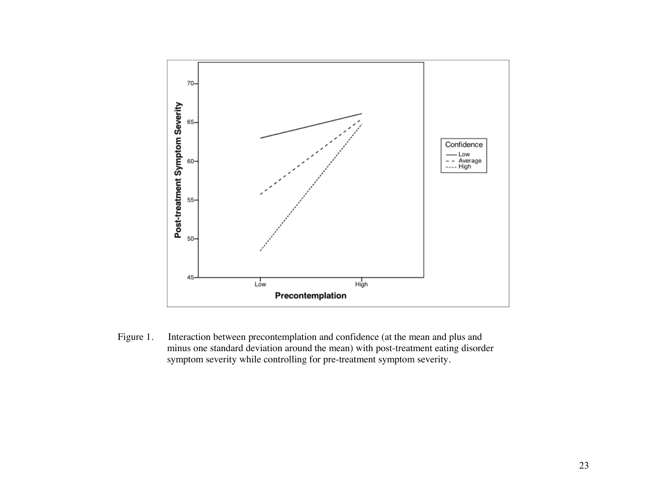

Figure 1. Interaction between precontemplation and confidence (at the mean and plus and minus one standard deviation around the mean) with post-treatment eating disorder symptom severity while controlling for pre-treatment symptom severity.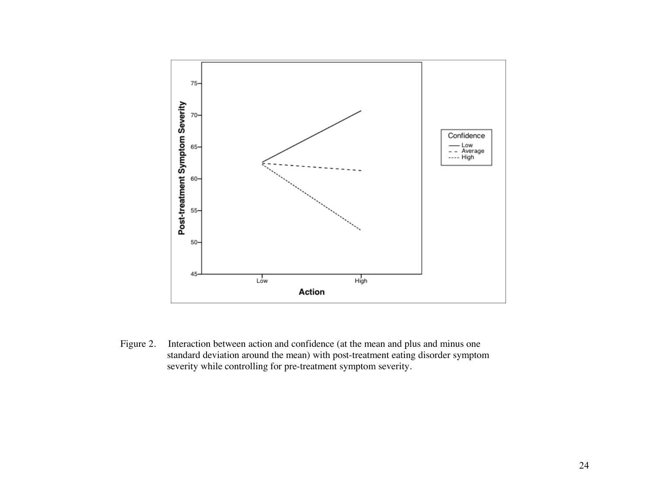

Figure 2. Interaction between action and confidence (at the mean and plus and minus one standard deviation around the mean) with post-treatment eating disorder symptom severity while controlling for pre-treatment symptom severity.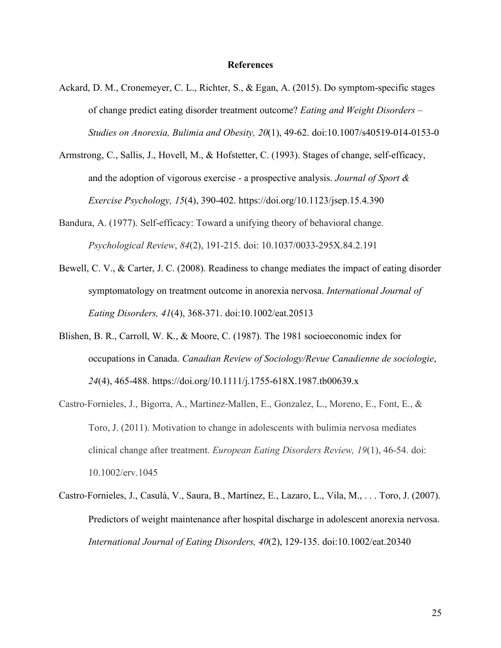#### **References**

- Ackard, D. M., Cronemeyer, C. L., Richter, S., & Egan, A. (2015). Do symptom-specific stages of change predict eating disorder treatment outcome? *Eating and Weight Disorders – Studies on Anorexia, Bulimia and Obesity, 20*(1), 49-62. doi:10.1007/s40519-014-0153-0
- Armstrong, C., Sallis, J., Hovell, M., & Hofstetter, C. (1993). Stages of change, self-efficacy, and the adoption of vigorous exercise - a prospective analysis. *Journal of Sport & Exercise Psychology, 15*(4), 390-402. https://doi.org/10.1123/jsep.15.4.390
- Bandura, A. (1977). Self-efficacy: Toward a unifying theory of behavioral change. *Psychological Review*, *84*(2), 191-215. doi: 10.1037/0033-295X.84.2.191
- Bewell, C. V., & Carter, J. C. (2008). Readiness to change mediates the impact of eating disorder symptomatology on treatment outcome in anorexia nervosa. *International Journal of Eating Disorders, 41*(4), 368-371. doi:10.1002/eat.20513
- Blishen, B. R., Carroll, W. K., & Moore, C. (1987). The 1981 socioeconomic index for occupations in Canada. *Canadian Review of Sociology/Revue Canadienne de sociologie*, *24*(4), 465-488. https://doi.org/10.1111/j.1755-618X.1987.tb00639.x
- Castro-Fornieles, J., Bigorra, A., Martinez-Mallen, E., Gonzalez, L., Moreno, E., Font, E., & Toro, J. (2011). Motivation to change in adolescents with bulimia nervosa mediates clinical change after treatment. *European Eating Disorders Review, 19*(1), 46-54. doi: 10.1002/erv.1045
- Castro-Fornieles, J., Casulà, V., Saura, B., Martínez, E., Lazaro, L., Vila, M., . . . Toro, J. (2007). Predictors of weight maintenance after hospital discharge in adolescent anorexia nervosa. *International Journal of Eating Disorders, 40*(2), 129-135. doi:10.1002/eat.20340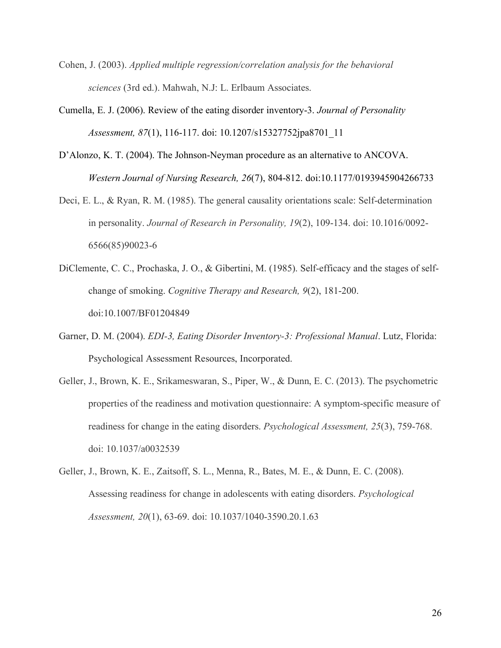- Cohen, J. (2003). *Applied multiple regression/correlation analysis for the behavioral sciences* (3rd ed.). Mahwah, N.J: L. Erlbaum Associates.
- Cumella, E. J. (2006). Review of the eating disorder inventory-3. *Journal of Personality Assessment, 87*(1), 116-117. doi: 10.1207/s15327752jpa8701\_11
- D'Alonzo, K. T. (2004). The Johnson-Neyman procedure as an alternative to ANCOVA. *Western Journal of Nursing Research, 26*(7), 804-812. doi:10.1177/0193945904266733
- Deci, E. L., & Ryan, R. M. (1985). The general causality orientations scale: Self-determination in personality. *Journal of Research in Personality, 19*(2), 109-134. doi: 10.1016/0092- 6566(85)90023-6
- DiClemente, C. C., Prochaska, J. O., & Gibertini, M. (1985). Self-efficacy and the stages of selfchange of smoking. *Cognitive Therapy and Research, 9*(2), 181-200. doi:10.1007/BF01204849
- Garner, D. M. (2004). *EDI-3, Eating Disorder Inventory-3: Professional Manual*. Lutz, Florida: Psychological Assessment Resources, Incorporated.
- Geller, J., Brown, K. E., Srikameswaran, S., Piper, W., & Dunn, E. C. (2013). The psychometric properties of the readiness and motivation questionnaire: A symptom-specific measure of readiness for change in the eating disorders. *Psychological Assessment, 25*(3), 759-768. doi: 10.1037/a0032539
- Geller, J., Brown, K. E., Zaitsoff, S. L., Menna, R., Bates, M. E., & Dunn, E. C. (2008). Assessing readiness for change in adolescents with eating disorders. *Psychological Assessment, 20*(1), 63-69. doi: 10.1037/1040-3590.20.1.63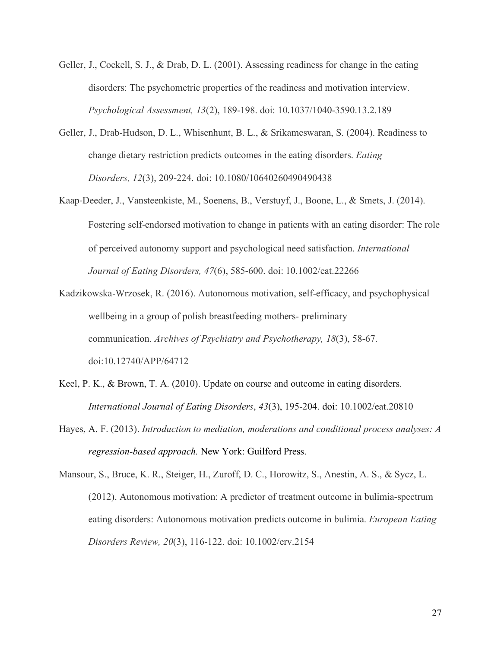- Geller, J., Cockell, S. J., & Drab, D. L. (2001). Assessing readiness for change in the eating disorders: The psychometric properties of the readiness and motivation interview. *Psychological Assessment, 13*(2), 189-198. doi: 10.1037/1040-3590.13.2.189
- Geller, J., Drab-Hudson, D. L., Whisenhunt, B. L., & Srikameswaran, S. (2004). Readiness to change dietary restriction predicts outcomes in the eating disorders. *Eating Disorders, 12*(3), 209-224. doi: 10.1080/10640260490490438
- Kaap-Deeder, J., Vansteenkiste, M., Soenens, B., Verstuyf, J., Boone, L., & Smets, J. (2014). Fostering self-endorsed motivation to change in patients with an eating disorder: The role of perceived autonomy support and psychological need satisfaction. *International Journal of Eating Disorders, 47*(6), 585-600. doi: 10.1002/eat.22266
- Kadzikowska-Wrzosek, R. (2016). Autonomous motivation, self-efficacy, and psychophysical wellbeing in a group of polish breastfeeding mothers- preliminary communication. *Archives of Psychiatry and Psychotherapy, 18*(3), 58-67. doi:10.12740/APP/64712
- Keel, P. K., & Brown, T. A. (2010). Update on course and outcome in eating disorders. *International Journal of Eating Disorders*, *43*(3), 195-204. doi: 10.1002/eat.20810
- Hayes, A. F. (2013). *Introduction to mediation, moderations and conditional process analyses: A regression-based approach.* New York: Guilford Press.

Mansour, S., Bruce, K. R., Steiger, H., Zuroff, D. C., Horowitz, S., Anestin, A. S., & Sycz, L. (2012). Autonomous motivation: A predictor of treatment outcome in bulimia-spectrum eating disorders: Autonomous motivation predicts outcome in bulimia. *European Eating Disorders Review, 20*(3), 116-122. doi: 10.1002/erv.2154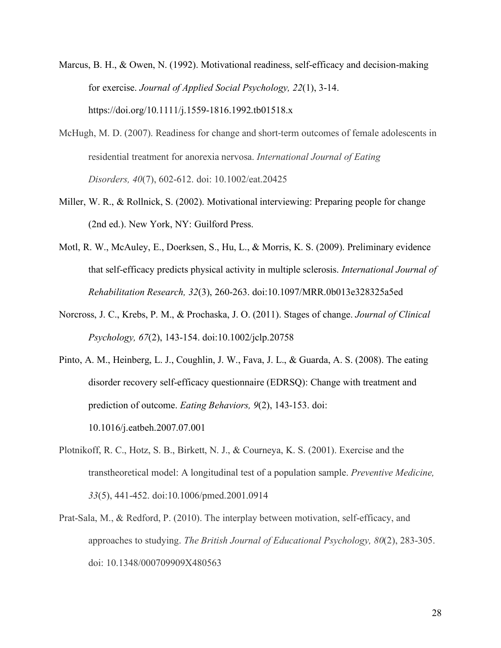- Marcus, B. H., & Owen, N. (1992). Motivational readiness, self-efficacy and decision-making for exercise. *Journal of Applied Social Psychology, 22*(1), 3-14. https://doi.org/10.1111/j.1559-1816.1992.tb01518.x
- McHugh, M. D. (2007). Readiness for change and short-term outcomes of female adolescents in residential treatment for anorexia nervosa. *International Journal of Eating Disorders, 40*(7), 602-612. doi: 10.1002/eat.20425
- Miller, W. R., & Rollnick, S. (2002). Motivational interviewing: Preparing people for change (2nd ed.). New York, NY: Guilford Press.
- Motl, R. W., McAuley, E., Doerksen, S., Hu, L., & Morris, K. S. (2009). Preliminary evidence that self-efficacy predicts physical activity in multiple sclerosis. *International Journal of Rehabilitation Research, 32*(3), 260-263. doi:10.1097/MRR.0b013e328325a5ed
- Norcross, J. C., Krebs, P. M., & Prochaska, J. O. (2011). Stages of change. *Journal of Clinical Psychology, 67*(2), 143-154. doi:10.1002/jclp.20758
- Pinto, A. M., Heinberg, L. J., Coughlin, J. W., Fava, J. L., & Guarda, A. S. (2008). The eating disorder recovery self-efficacy questionnaire (EDRSQ): Change with treatment and prediction of outcome. *Eating Behaviors, 9*(2), 143-153. doi: 10.1016/j.eatbeh.2007.07.001
- Plotnikoff, R. C., Hotz, S. B., Birkett, N. J., & Courneya, K. S. (2001). Exercise and the transtheoretical model: A longitudinal test of a population sample. *Preventive Medicine, 33*(5), 441-452. doi:10.1006/pmed.2001.0914
- Prat-Sala, M., & Redford, P. (2010). The interplay between motivation, self-efficacy, and approaches to studying. *The British Journal of Educational Psychology, 80*(2), 283-305. doi: 10.1348/000709909X480563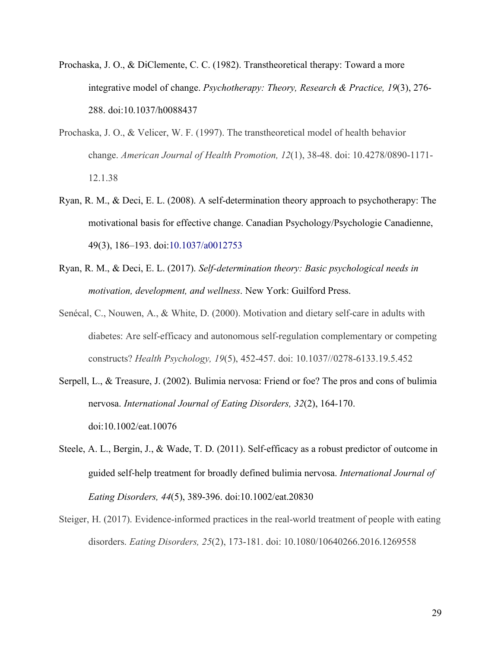- Prochaska, J. O., & DiClemente, C. C. (1982). Transtheoretical therapy: Toward a more integrative model of change. *Psychotherapy: Theory, Research & Practice, 19*(3), 276- 288. doi:10.1037/h0088437
- Prochaska, J. O., & Velicer, W. F. (1997). The transtheoretical model of health behavior change. *American Journal of Health Promotion, 12*(1), 38-48. doi: 10.4278/0890-1171- 12.1.38
- Ryan, R. M., & Deci, E. L. (2008). A self-determination theory approach to psychotherapy: The motivational basis for effective change. Canadian Psychology/Psychologie Canadienne, 49(3), 186–193. doi:10.1037/a0012753
- Ryan, R. M., & Deci, E. L. (2017). *Self-determination theory: Basic psychological needs in motivation, development, and wellness*. New York: Guilford Press.
- Senécal, C., Nouwen, A., & White, D. (2000). Motivation and dietary self-care in adults with diabetes: Are self-efficacy and autonomous self-regulation complementary or competing constructs? *Health Psychology, 19*(5), 452-457. doi: 10.1037//0278-6133.19.5.452
- Serpell, L., & Treasure, J. (2002). Bulimia nervosa: Friend or foe? The pros and cons of bulimia nervosa. *International Journal of Eating Disorders, 32*(2), 164-170. doi:10.1002/eat.10076
- Steele, A. L., Bergin, J., & Wade, T. D. (2011). Self-efficacy as a robust predictor of outcome in guided self-help treatment for broadly defined bulimia nervosa. *International Journal of Eating Disorders, 44*(5), 389-396. doi:10.1002/eat.20830
- Steiger, H. (2017). Evidence-informed practices in the real-world treatment of people with eating disorders. *Eating Disorders, 25*(2), 173-181. doi: 10.1080/10640266.2016.1269558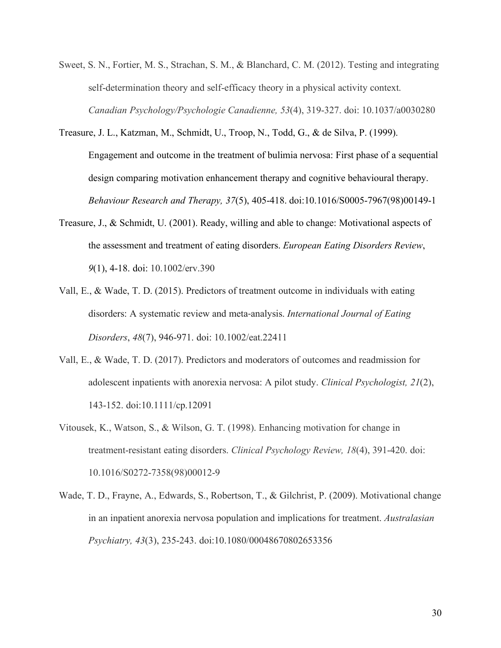- Sweet, S. N., Fortier, M. S., Strachan, S. M., & Blanchard, C. M. (2012). Testing and integrating self-determination theory and self-efficacy theory in a physical activity context. *Canadian Psychology/Psychologie Canadienne, 53*(4), 319-327. doi: 10.1037/a0030280
- Treasure, J. L., Katzman, M., Schmidt, U., Troop, N., Todd, G., & de Silva, P. (1999). Engagement and outcome in the treatment of bulimia nervosa: First phase of a sequential design comparing motivation enhancement therapy and cognitive behavioural therapy. *Behaviour Research and Therapy, 37*(5), 405-418. doi:10.1016/S0005-7967(98)00149-1
- Treasure, J., & Schmidt, U. (2001). Ready, willing and able to change: Motivational aspects of the assessment and treatment of eating disorders. *European Eating Disorders Review*, *9*(1), 4-18. doi: 10.1002/erv.390
- Vall, E., & Wade, T. D. (2015). Predictors of treatment outcome in individuals with eating disorders: A systematic review and meta-analysis. *International Journal of Eating Disorders*, *48*(7), 946-971. doi: 10.1002/eat.22411
- Vall, E., & Wade, T. D. (2017). Predictors and moderators of outcomes and readmission for adolescent inpatients with anorexia nervosa: A pilot study. *Clinical Psychologist, 21*(2), 143-152. doi:10.1111/cp.12091
- Vitousek, K., Watson, S., & Wilson, G. T. (1998). Enhancing motivation for change in treatment-resistant eating disorders. *Clinical Psychology Review, 18*(4), 391-420. doi: 10.1016/S0272-7358(98)00012-9
- Wade, T. D., Frayne, A., Edwards, S., Robertson, T., & Gilchrist, P. (2009). Motivational change in an inpatient anorexia nervosa population and implications for treatment. *Australasian Psychiatry, 43*(3), 235-243. doi:10.1080/00048670802653356